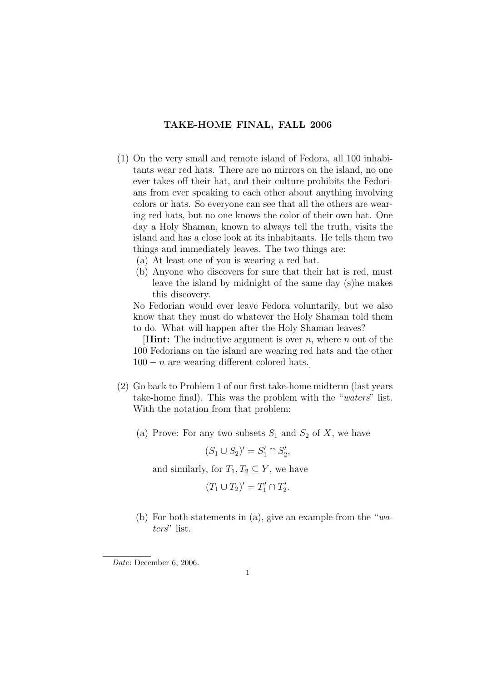## TAKE-HOME FINAL, FALL 2006

- (1) On the very small and remote island of Fedora, all 100 inhabitants wear red hats. There are no mirrors on the island, no one ever takes off their hat, and their culture prohibits the Fedorians from ever speaking to each other about anything involving colors or hats. So everyone can see that all the others are wearing red hats, but no one knows the color of their own hat. One day a Holy Shaman, known to always tell the truth, visits the island and has a close look at its inhabitants. He tells them two things and immediately leaves. The two things are:
	- (a) At least one of you is wearing a red hat.
	- (b) Anyone who discovers for sure that their hat is red, must leave the island by midnight of the same day (s)he makes this discovery.

No Fedorian would ever leave Fedora voluntarily, but we also know that they must do whatever the Holy Shaman told them to do. What will happen after the Holy Shaman leaves?

**Hint:** The inductive argument is over n, where n out of the 100 Fedorians on the island are wearing red hats and the other  $100 - n$  are wearing different colored hats.

- (2) Go back to Problem 1 of our first take-home midterm (last years take-home final). This was the problem with the "waters" list. With the notation from that problem:
	- (a) Prove: For any two subsets  $S_1$  and  $S_2$  of X, we have

 $(S_1 \cup S_2)' = S'_1 \cap S'_2,$ 

and similarly, for  $T_1, T_2 \subseteq Y$ , we have

$$
(T_1 \cup T_2)' = T_1' \cap T_2'.
$$

(b) For both statements in (a), give an example from the "waters" list.

Date: December 6, 2006.